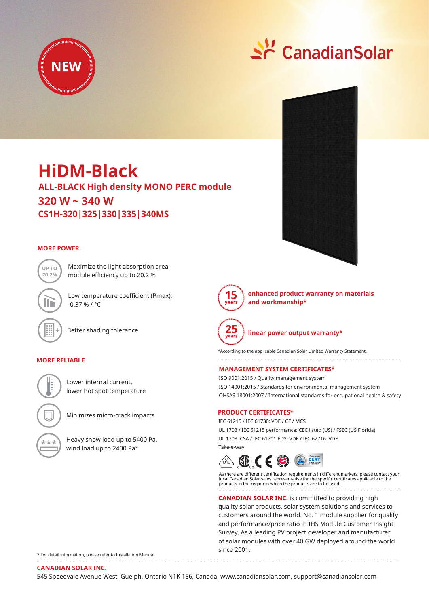



# **ALL-BLACK High density MONO PERC module HiDM-Black 320 W ~ 340 W CS1H-320|325|330|335|340MS**

Maximize the light absorption area, module efficiency up to 20.2 %

Low temperature coefficient (Pmax):

### **MORE POWER**



Better shading tolerance

 $-0.37 \% / °C$ 

### **MORE RELIABLE**

Lower internal current, lower hot spot temperature

Minimizes micro-crack impacts



Heavy snow load up to 5400 Pa, wind load up to 2400 Pa\*





**enhanced product warranty on materials and workmanship\***



**linear power output warranty\***

\*According to the applicable Canadian Solar Limited Warranty Statement. 

### **MANAGEMENT SYSTEM CERTIFICATES\***

ISO 9001:2015 / Quality management system ISO 14001:2015 / Standards for environmental management system OHSAS 18001:2007 / International standards for occupational health & safety

### **PRODUCT CERTIFICATES\***

IEC 61215 / IEC 61730: VDE / CE / MCS UL 1703 / IEC 61215 performance: CEC listed (US) / FSEC (US Florida) UL 1703: CSA / IEC 61701 ED2: VDE / IEC 62716: VDE Take-e-way



As there are different certification requirements in different markets, please contact your local Canadian Solar sales representative for the specific certificates applicable to the products in the region in which the products are to be used.

**CANADIAN SOLAR INC.** is committed to providing high quality solar products, solar system solutions and services to customers around the world. No. 1 module supplier for quality and performance/price ratio in IHS Module Customer Insight Survey. As a leading PV project developer and manufacturer of solar modules with over 40 GW deployed around the world since 2001.

\* For detail information, please refer to Installation Manual.

**CANADIAN SOLAR INC.**

545 Speedvale Avenue West, Guelph, Ontario N1K 1E6, Canada, www.canadiansolar.com, support@canadiansolar.com